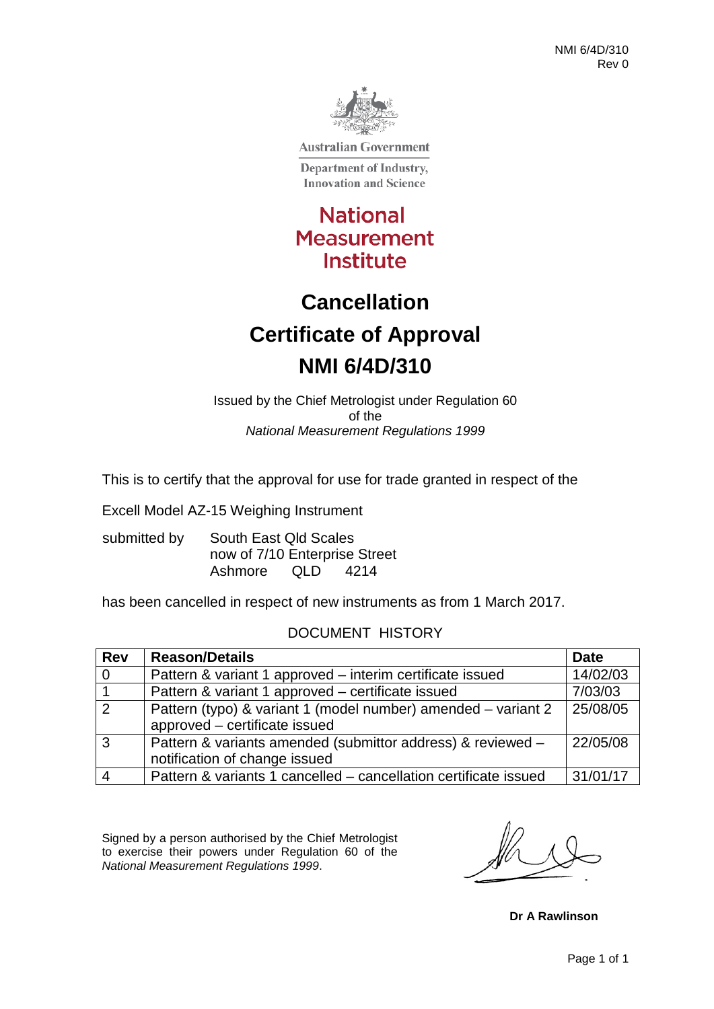

**Australian Government** 

Department of Industry, **Innovation and Science** 

**National Measurement** Institute

## **Cancellation Certificate of Approval NMI 6/4D/310**

Issued by the Chief Metrologist under Regulation 60 of the *National Measurement Regulations 1999*

This is to certify that the approval for use for trade granted in respect of the

Excell Model AZ-15 Weighing Instrument

submitted by South East Qld Scales now of 7/10 Enterprise Street Ashmore QLD 4214

has been cancelled in respect of new instruments as from 1 March 2017.

#### DOCUMENT HISTORY

| <b>Rev</b>     | <b>Reason/Details</b>                                            | <b>Date</b> |
|----------------|------------------------------------------------------------------|-------------|
| $\overline{0}$ | Pattern & variant 1 approved - interim certificate issued        | 14/02/03    |
|                | Pattern & variant 1 approved – certificate issued                | 7/03/03     |
| $\overline{2}$ | Pattern (typo) & variant 1 (model number) amended – variant 2    | 25/08/05    |
|                | approved – certificate issued                                    |             |
| <b>3</b>       | Pattern & variants amended (submittor address) & reviewed -      | 22/05/08    |
|                | notification of change issued                                    |             |
|                | Pattern & variants 1 cancelled - cancellation certificate issued | 31/01/17    |

Signed by a person authorised by the Chief Metrologist to exercise their powers under Regulation 60 of the *National Measurement Regulations 1999*.

**Dr A Rawlinson**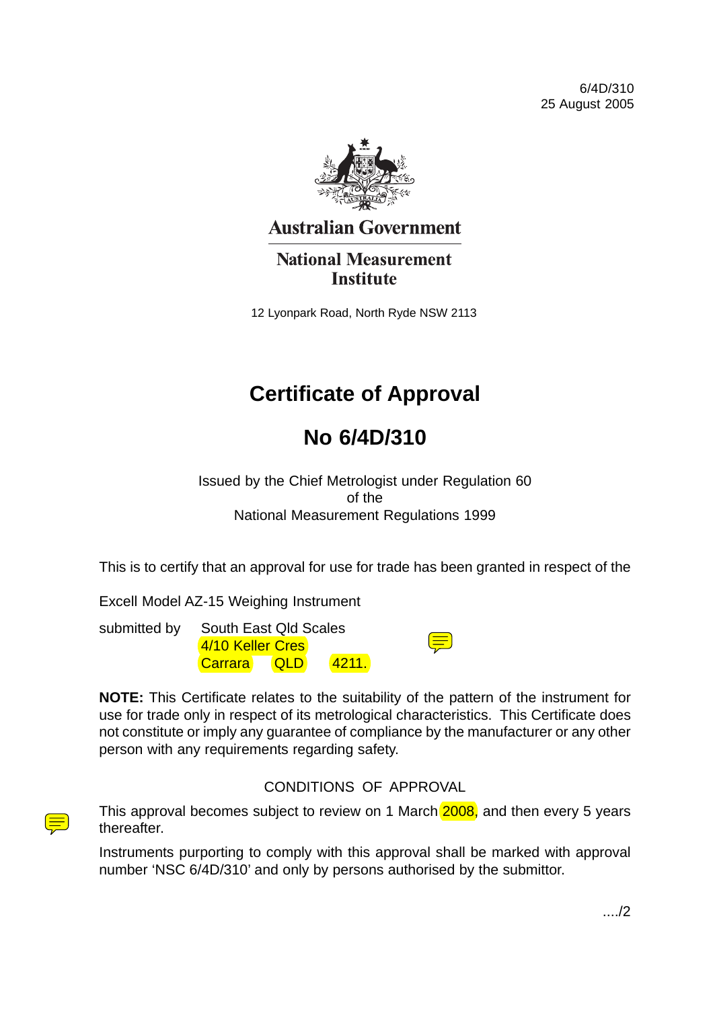6/4D/310 25 August 2005



### **Australian Government**

**National Measurement Institute** 

12 Lyonpark Road, North Ryde NSW 2113

## **Certificate of Approval**

### **No 6/4D/310**

Issued by the Chief Metrologist under Regulation 60 of the National Measurement Regulations 1999

This is to certify that an approval for use for trade has been granted in respect of the

Excell Model AZ-15 Weighing Instrument

submitted by South East Qld Scales 4/10 Keller Cres Carrara QLD 4211.

|                                                                                                                                                                                                                                                                   | and the state of the state of the state of the state of the state of the state of the state of the state of th |  |
|-------------------------------------------------------------------------------------------------------------------------------------------------------------------------------------------------------------------------------------------------------------------|----------------------------------------------------------------------------------------------------------------|--|
| <b>Service Service</b><br>and the state of the state of the state of the state of the state of the state of the state of the state of th<br><b>Contract Contract Contract Contract Contract Contract Contract Contract Contract Contract Contract Contract Co</b> |                                                                                                                |  |
| <b>Service Service</b>                                                                                                                                                                                                                                            | ۰.<br>۰,                                                                                                       |  |

**NOTE:** This Certificate relates to the suitability of the pattern of the instrument for use for trade only in respect of its metrological characteristics. This Certificate does not constitute or imply any guarantee of compliance by the manufacturer or any other person with any requirements regarding safety.

#### CONDITIONS OF APPROVAL

This approval becomes subject to review on 1 March 2008, and then every 5 years thereafter.

Instruments purporting to comply with this approval shall be marked with approval number 'NSC 6/4D/310' and only by persons authorised by the submittor.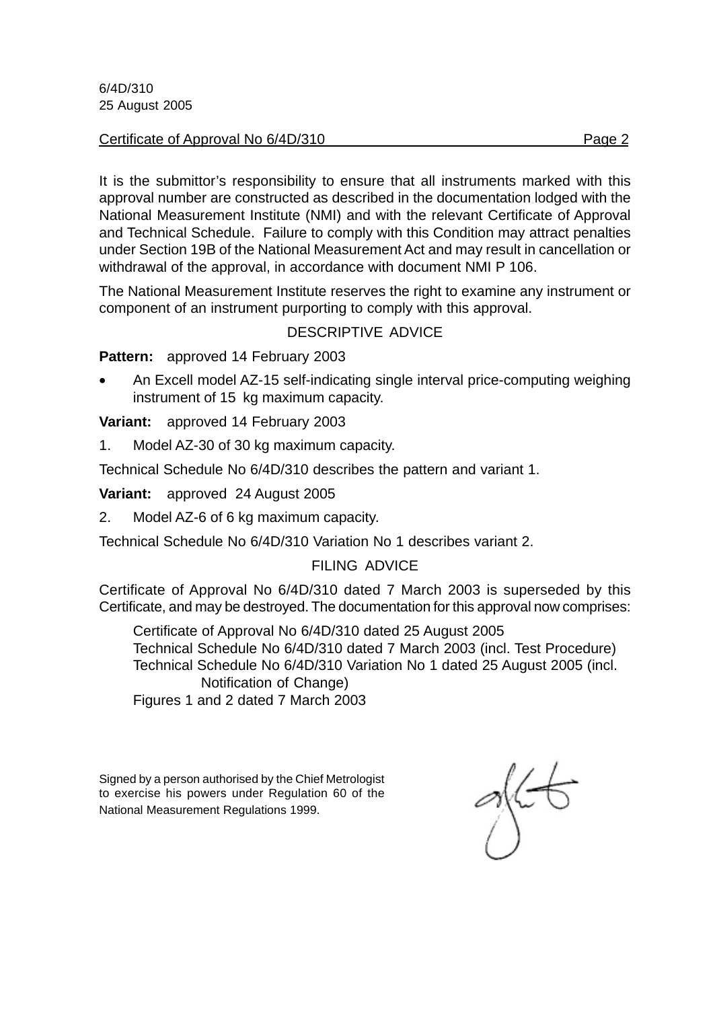6/4D/310 25 August 2005

#### Certificate of Approval No 6/4D/310

It is the submittor's responsibility to ensure that all instruments marked with this approval number are constructed as described in the documentation lodged with the National Measurement Institute (NMI) and with the relevant Certificate of Approval and Technical Schedule. Failure to comply with this Condition may attract penalties under Section 19B of the National Measurement Act and may result in cancellation or withdrawal of the approval, in accordance with document NMI P 106.

The National Measurement Institute reserves the right to examine any instrument or component of an instrument purporting to comply with this approval.

#### DESCRIPTIVE ADVICE

**Pattern:** approved 14 February 2003

• An Excell model AZ-15 self-indicating single interval price-computing weighing instrument of 15 kg maximum capacity.

**Variant:** approved 14 February 2003

1. Model AZ-30 of 30 kg maximum capacity.

Technical Schedule No 6/4D/310 describes the pattern and variant 1.

**Variant:** approved 24 August 2005

2. Model AZ-6 of 6 kg maximum capacity.

Technical Schedule No 6/4D/310 Variation No 1 describes variant 2.

#### FILING ADVICE

Certificate of Approval No 6/4D/310 dated 7 March 2003 is superseded by this Certificate, and may be destroyed. The documentation for this approval now comprises:

Certificate of Approval No 6/4D/310 dated 25 August 2005 Technical Schedule No 6/4D/310 dated 7 March 2003 (incl. Test Procedure) Technical Schedule No 6/4D/310 Variation No 1 dated 25 August 2005 (incl. Notification of Change) Figures 1 and 2 dated 7 March 2003

Signed by a person authorised by the Chief Metrologist to exercise his powers under Regulation 60 of the National Measurement Regulations 1999.

gkt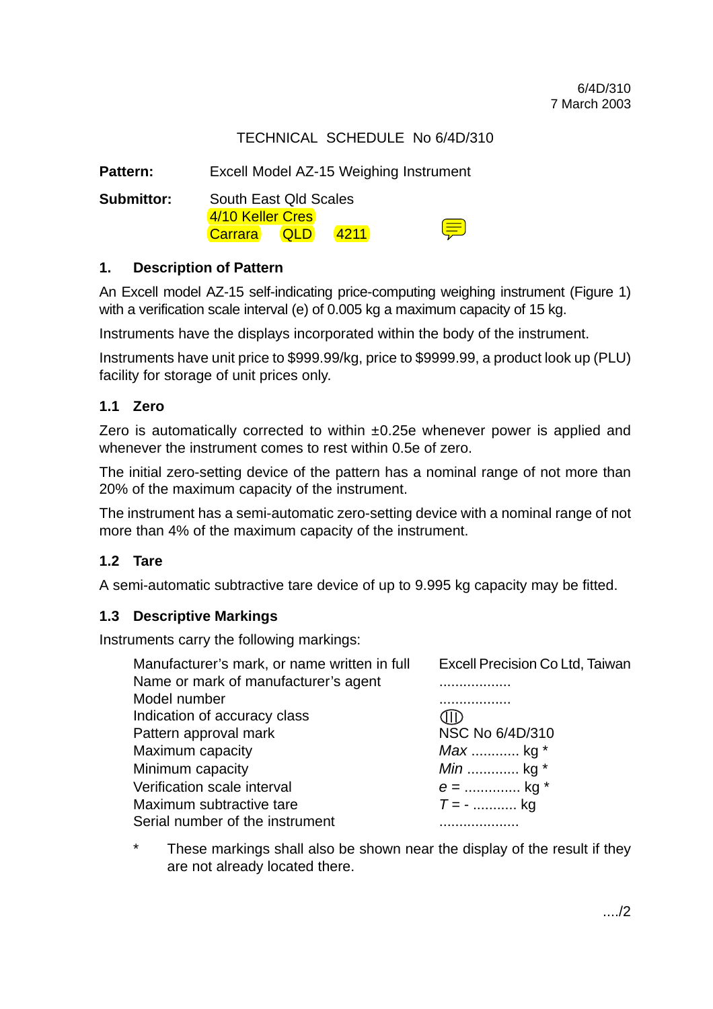#### TECHNICAL SCHEDULE No 6/4D/310

Pattern: Excell Model AZ-15 Weighing Instrument

**Submittor:** South East Qld Scales 4/10 Keller Cres Carrara QLD 4211

#### **1. Description of Pattern**

An Excell model AZ-15 self-indicating price-computing weighing instrument (Figure 1) with a verification scale interval (e) of 0.005 kg a maximum capacity of 15 kg.

⊜

Instruments have the displays incorporated within the body of the instrument.

Instruments have unit price to \$999.99/kg, price to \$9999.99, a product look up (PLU) facility for storage of unit prices only.

#### **1.1 Zero**

Zero is automatically corrected to within ±0.25e whenever power is applied and whenever the instrument comes to rest within 0.5e of zero.

The initial zero-setting device of the pattern has a nominal range of not more than 20% of the maximum capacity of the instrument.

The instrument has a semi-automatic zero-setting device with a nominal range of not more than 4% of the maximum capacity of the instrument.

#### **1.2 Tare**

A semi-automatic subtractive tare device of up to 9.995 kg capacity may be fitted.

#### **1.3 Descriptive Markings**

Instruments carry the following markings:

| Manufacturer's mark, or name written in full | Excell Precision Co Ltd, Taiwan |
|----------------------------------------------|---------------------------------|
| Name or mark of manufacturer's agent         |                                 |
| Model number                                 | .                               |
| Indication of accuracy class                 |                                 |
| Pattern approval mark                        | NSC No 6/4D/310                 |
| Maximum capacity                             | Max  kg *                       |
| Minimum capacity                             | <i>Min</i> kg *                 |
| Verification scale interval                  | $e =$ kg *                      |
| Maximum subtractive tare                     | $T = -$ kg                      |
| Serial number of the instrument              |                                 |

\* These markings shall also be shown near the display of the result if they are not already located there.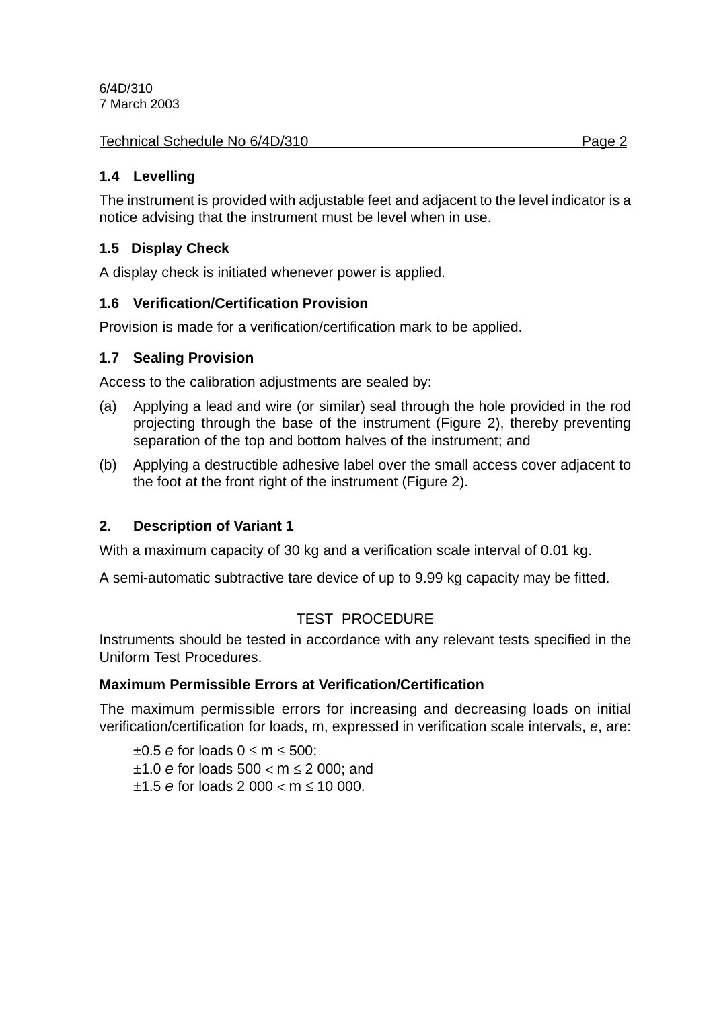6/4D/310 7 March 2003

#### Technical Schedule No 6/4D/310 **Page 2** Page 2

#### **1.4 Levelling**

The instrument is provided with adjustable feet and adjacent to the level indicator is a notice advising that the instrument must be level when in use.

#### **1.5 Display Check**

A display check is initiated whenever power is applied.

#### **1.6 Verification/Certification Provision**

Provision is made for a verification/certification mark to be applied.

#### **1.7 Sealing Provision**

Access to the calibration adjustments are sealed by:

- (a) Applying a lead and wire (or similar) seal through the hole provided in the rod projecting through the base of the instrument (Figure 2), thereby preventing separation of the top and bottom halves of the instrument; and
- (b) Applying a destructible adhesive label over the small access cover adjacent to the foot at the front right of the instrument (Figure 2).

#### **2. Description of Variant 1**

With a maximum capacity of 30 kg and a verification scale interval of 0.01 kg.

A semi-automatic subtractive tare device of up to 9.99 kg capacity may be fitted.

#### TEST PROCEDURE

Instruments should be tested in accordance with any relevant tests specified in the Uniform Test Procedures.

#### **Maximum Permissible Errors at Verification/Certification**

The maximum permissible errors for increasing and decreasing loads on initial verification/certification for loads, m, expressed in verification scale intervals, *e*, are:

±0.5 *e* for loads 0 ≤ m ≤ 500; ±1.0 *e* for loads 500 < m ≤ 2 000; and ±1.5 *e* for loads 2 000 < m ≤ 10 000.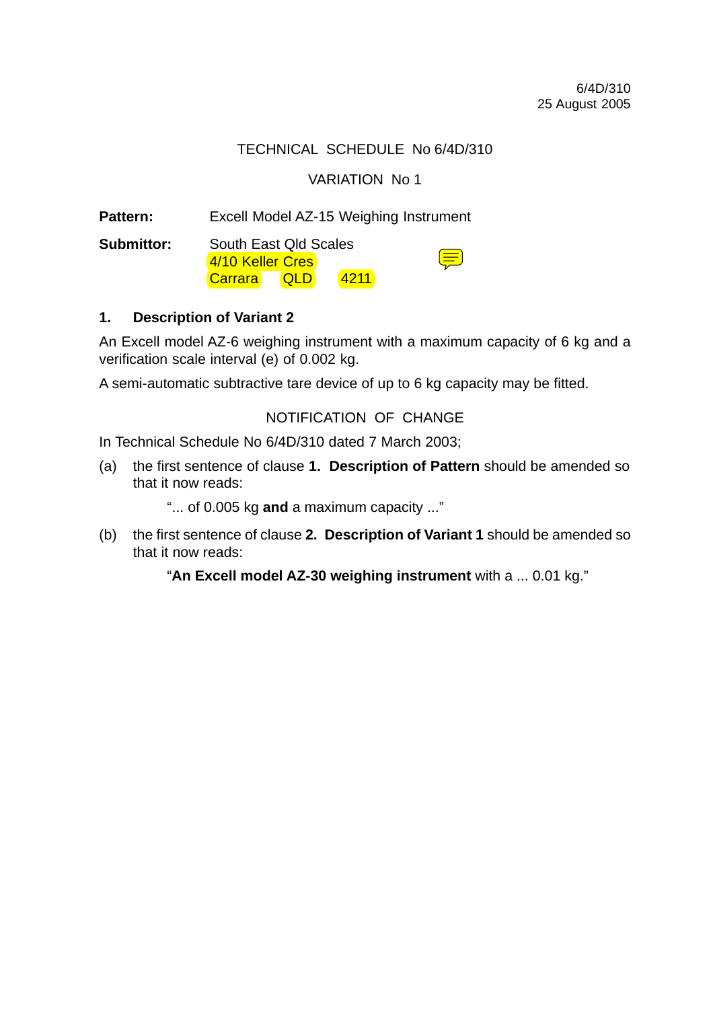#### TECHNICAL SCHEDULE No 6/4D/310

#### VARIATION No 1

Pattern: Excell Model AZ-15 Weighing Instrument

**Submittor:** South East Qld Scales 4/10 Keller Cres Carrara QLD 4211

#### **1. Description of Variant 2**

An Excell model AZ-6 weighing instrument with a maximum capacity of 6 kg and a verification scale interval (e) of 0.002 kg.

A semi-automatic subtractive tare device of up to 6 kg capacity may be fitted.

#### NOTIFICATION OF CHANGE

In Technical Schedule No 6/4D/310 dated 7 March 2003;

(a) the first sentence of clause **1. Description of Pattern** should be amended so that it now reads:

"... of 0.005 kg **and** a maximum capacity ..."

(b) the first sentence of clause **2. Description of Variant 1** should be amended so that it now reads:

"**An Excell model AZ-30 weighing instrument** with a ... 0.01 kg."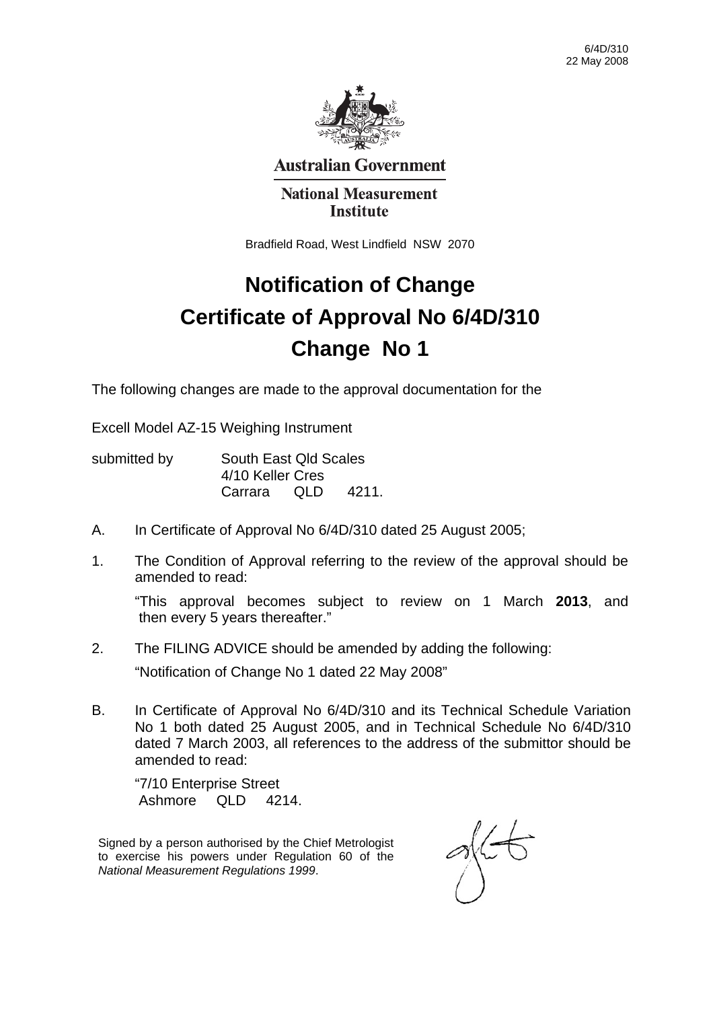

**Australian Government** 

#### **National Measurement Institute**

Bradfield Road, West Lindfield NSW 2070

# **Notification of Change Certificate of Approval No 6/4D/310 Change No 1**

The following changes are made to the approval documentation for the

Excell Model AZ-15 Weighing Instrument

| submitted by | South East Qld Scales<br>4/10 Keller Cres |       |        |
|--------------|-------------------------------------------|-------|--------|
|              |                                           |       |        |
|              | Carrara                                   | - OLD | -4211. |

- A. In Certificate of Approval No 6/4D/310 dated 25 August 2005;
- 1. The Condition of Approval referring to the review of the approval should be amended to read:

"This approval becomes subject to review on 1 March **2013**, and then every 5 years thereafter."

2. The FILING ADVICE should be amended by adding the following:

"Notification of Change No 1 dated 22 May 2008"

B. In Certificate of Approval No 6/4D/310 and its Technical Schedule Variation No 1 both dated 25 August 2005, and in Technical Schedule No 6/4D/310 dated 7 March 2003, all references to the address of the submittor should be amended to read:

"7/10 Enterprise Street Ashmore QLD 4214.

Signed by a person authorised by the Chief Metrologist to exercise his powers under Regulation 60 of the *National Measurement Regulations 1999*.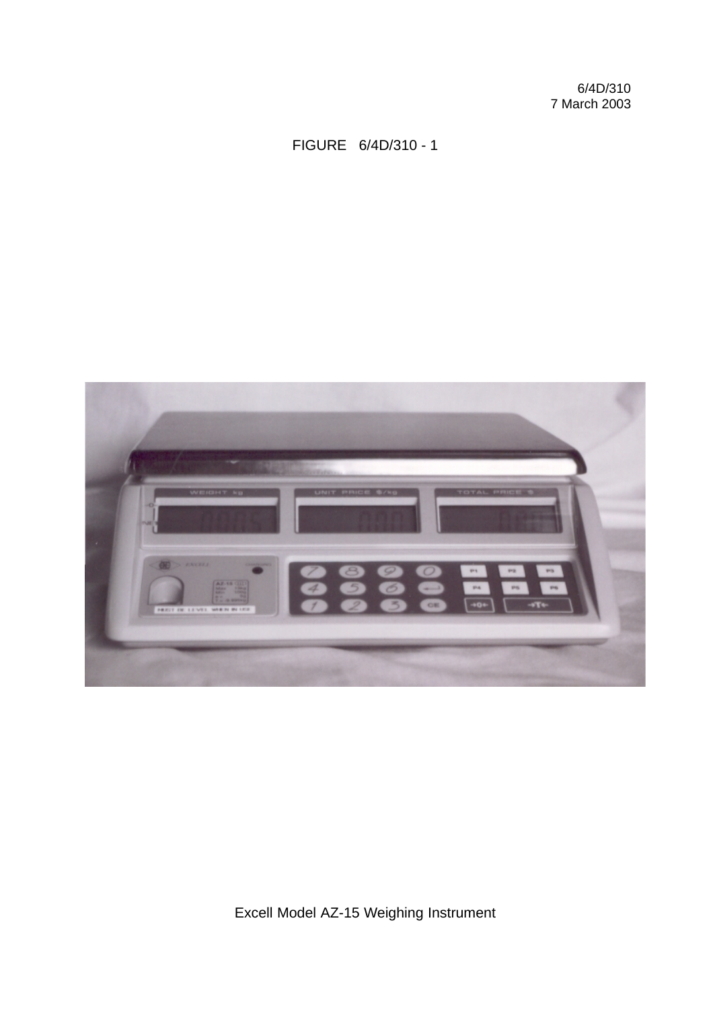6/4D/310 7 March 2003

FIGURE 6/4D/310 - 1



Excell Model AZ-15 Weighing Instrument